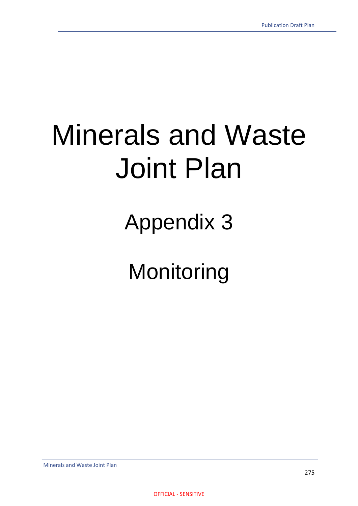Appendix 3

**Monitoring**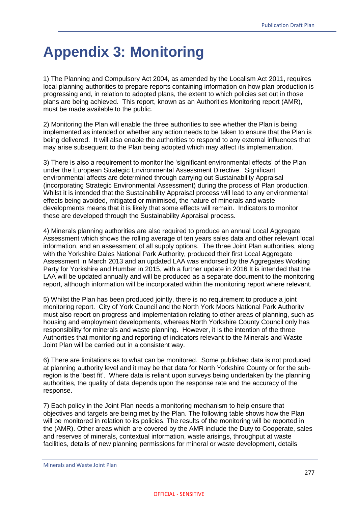## **Appendix 3: Monitoring**

1) The Planning and Compulsory Act 2004, as amended by the Localism Act 2011, requires local planning authorities to prepare reports containing information on how plan production is progressing and, in relation to adopted plans, the extent to which policies set out in those plans are being achieved. This report, known as an Authorities Monitoring report (AMR), must be made available to the public.

2) Monitoring the Plan will enable the three authorities to see whether the Plan is being implemented as intended or whether any action needs to be taken to ensure that the Plan is being delivered. It will also enable the authorities to respond to any external influences that may arise subsequent to the Plan being adopted which may affect its implementation.

3) There is also a requirement to monitor the 'significant environmental effects' of the Plan under the European Strategic Environmental Assessment Directive. Significant environmental affects are determined through carrying out Sustainability Appraisal (incorporating Strategic Environmental Assessment) during the process of Plan production. Whilst it is intended that the Sustainability Appraisal process will lead to any environmental effects being avoided, mitigated or minimised, the nature of minerals and waste developments means that it is likely that some effects will remain. Indicators to monitor these are developed through the Sustainability Appraisal process.

4) Minerals planning authorities are also required to produce an annual Local Aggregate Assessment which shows the rolling average of ten years sales data and other relevant local information, and an assessment of all supply options. The three Joint Plan authorities, along with the Yorkshire Dales National Park Authority, produced their first Local Aggregate Assessment in March 2013 and an updated LAA was endorsed by the Aggregates Working Party for Yorkshire and Humber in 2015, with a further update in 2016 It is intended that the LAA will be updated annually and will be produced as a separate document to the monitoring report, although information will be incorporated within the monitoring report where relevant.

5) Whilst the Plan has been produced jointly, there is no requirement to produce a joint monitoring report. City of York Council and the North York Moors National Park Authority must also report on progress and implementation relating to other areas of planning, such as housing and employment developments, whereas North Yorkshire County Council only has responsibility for minerals and waste planning. However, it is the intention of the three Authorities that monitoring and reporting of indicators relevant to the Minerals and Waste Joint Plan will be carried out in a consistent way.

6) There are limitations as to what can be monitored. Some published data is not produced at planning authority level and it may be that data for North Yorkshire County or for the subregion is the 'best fit'. Where data is reliant upon surveys being undertaken by the planning authorities, the quality of data depends upon the response rate and the accuracy of the response.

7) Each policy in the Joint Plan needs a monitoring mechanism to help ensure that objectives and targets are being met by the Plan. The following table shows how the Plan will be monitored in relation to its policies. The results of the monitoring will be reported in the (AMR). Other areas which are covered by the AMR include the Duty to Cooperate, sales and reserves of minerals, contextual information, waste arisings, throughput at waste facilities, details of new planning permissions for mineral or waste development, details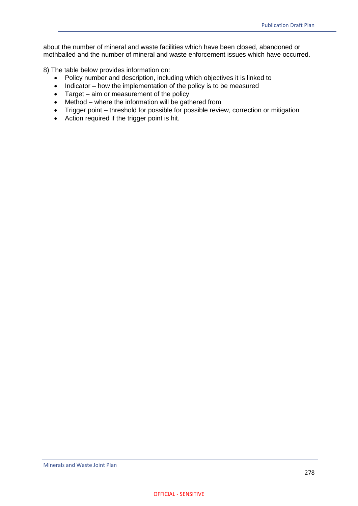about the number of mineral and waste facilities which have been closed, abandoned or mothballed and the number of mineral and waste enforcement issues which have occurred.

8) The table below provides information on:

- Policy number and description, including which objectives it is linked to
- $\bullet$  Indicator how the implementation of the policy is to be measured
- Target aim or measurement of the policy
- Method where the information will be gathered from
- Trigger point threshold for possible for possible review, correction or mitigation
- Action required if the trigger point is hit.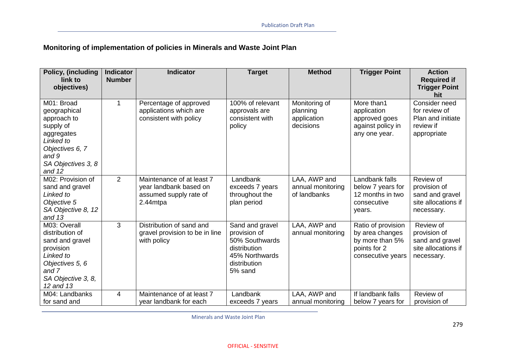## **Monitoring of implementation of policies in Minerals and Waste Joint Plan**

| Policy, (including<br>link to<br>objectives)                                                                                                | <b>Indicator</b><br><b>Number</b> | <b>Indicator</b>                                                                          | <b>Target</b>                                                                                                  | <b>Method</b>                                         | <b>Trigger Point</b>                                                                          | <b>Action</b><br><b>Required if</b><br><b>Trigger Point</b>                            |
|---------------------------------------------------------------------------------------------------------------------------------------------|-----------------------------------|-------------------------------------------------------------------------------------------|----------------------------------------------------------------------------------------------------------------|-------------------------------------------------------|-----------------------------------------------------------------------------------------------|----------------------------------------------------------------------------------------|
| M01: Broad<br>geographical<br>approach to<br>supply of<br>aggregates<br>Linked to<br>Objectives 6, 7<br>and 9<br>SA Objectives 3, 8         |                                   | Percentage of approved<br>applications which are<br>consistent with policy                | 100% of relevant<br>approvals are<br>consistent with<br>policy                                                 | Monitoring of<br>planning<br>application<br>decisions | More than1<br>application<br>approved goes<br>against policy in<br>any one year.              | hit<br>Consider need<br>for review of<br>Plan and initiate<br>review if<br>appropriate |
| and 12<br>M02: Provision of<br>sand and gravel<br>Linked to<br>Objective 5<br>SA Objective 8, 12<br>and $13$                                | 2                                 | Maintenance of at least 7<br>year landbank based on<br>assumed supply rate of<br>2.44mtpa | Landbank<br>exceeds 7 years<br>throughout the<br>plan period                                                   | LAA, AWP and<br>annual monitoring<br>of landbanks     | Landbank falls<br>below 7 years for<br>12 months in two<br>consecutive<br>years.              | Review of<br>provision of<br>sand and gravel<br>site allocations if<br>necessary.      |
| M03: Overall<br>distribution of<br>sand and gravel<br>provision<br>Linked to<br>Objectives 5, 6<br>and 7<br>SA Objective 3, 8,<br>12 and 13 | 3                                 | Distribution of sand and<br>gravel provision to be in line<br>with policy                 | Sand and gravel<br>provision of<br>50% Southwards<br>distribution<br>45% Northwards<br>distribution<br>5% sand | LAA, AWP and<br>annual monitoring                     | Ratio of provision<br>by area changes<br>by more than 5%<br>points for 2<br>consecutive years | Review of<br>provision of<br>sand and gravel<br>site allocations if<br>necessary.      |
| M04: Landbanks<br>for sand and                                                                                                              | 4                                 | Maintenance of at least 7<br>year landbank for each                                       | Landbank<br>exceeds 7 years                                                                                    | LAA, AWP and<br>annual monitoring                     | If landbank falls<br>below 7 years for                                                        | Review of<br>provision of                                                              |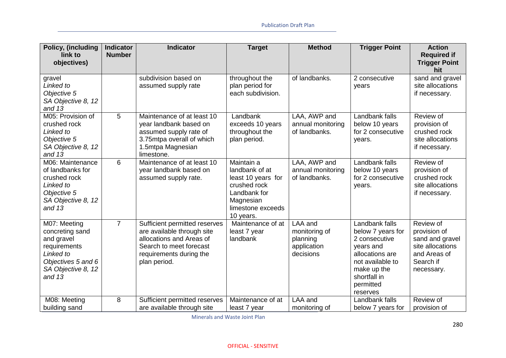| Policy, (including<br>link to<br>objectives)                                                                                       | <b>Indicator</b><br><b>Number</b> | <b>Indicator</b>                                                                                                                                              | <b>Target</b>                                                                                                                     | <b>Method</b>                                                    | <b>Trigger Point</b>                                                                                                                                             | <b>Action</b><br><b>Required if</b><br><b>Trigger Point</b>                                                 |
|------------------------------------------------------------------------------------------------------------------------------------|-----------------------------------|---------------------------------------------------------------------------------------------------------------------------------------------------------------|-----------------------------------------------------------------------------------------------------------------------------------|------------------------------------------------------------------|------------------------------------------------------------------------------------------------------------------------------------------------------------------|-------------------------------------------------------------------------------------------------------------|
| gravel<br>Linked to<br>Objective 5<br>SA Objective 8, 12<br>and $13$                                                               |                                   | subdivision based on<br>assumed supply rate                                                                                                                   | throughout the<br>plan period for<br>each subdivision.                                                                            | of landbanks.                                                    | 2 consecutive<br>years                                                                                                                                           | hit<br>sand and gravel<br>site allocations<br>if necessary.                                                 |
| M05: Provision of<br>crushed rock<br>Linked to<br>Objective 5<br>SA Objective 8, 12<br>and $13$                                    | 5                                 | Maintenance of at least 10<br>year landbank based on<br>assumed supply rate of<br>3.75mtpa overall of which<br>1.5mtpa Magnesian<br>limestone.                | Landbank<br>exceeds 10 years<br>throughout the<br>plan period.                                                                    | LAA, AWP and<br>annual monitoring<br>of landbanks.               | Landbank falls<br>below 10 years<br>for 2 consecutive<br>years.                                                                                                  | Review of<br>provision of<br>crushed rock<br>site allocations<br>if necessary.                              |
| M06: Maintenance<br>of landbanks for<br>crushed rock<br>Linked to<br>Objective 5<br>SA Objective 8, 12<br>and $13$                 | 6                                 | Maintenance of at least 10<br>year landbank based on<br>assumed supply rate.                                                                                  | Maintain a<br>landbank of at<br>least 10 years for<br>crushed rock<br>Landbank for<br>Magnesian<br>limestone exceeds<br>10 years. | LAA, AWP and<br>annual monitoring<br>of landbanks.               | Landbank falls<br>below 10 years<br>for 2 consecutive<br>years.                                                                                                  | Review of<br>provision of<br>crushed rock<br>site allocations<br>if necessary.                              |
| M07: Meeting<br>concreting sand<br>and gravel<br>requirements<br>Linked to<br>Objectives 5 and 6<br>SA Objective 8, 12<br>and $13$ | $\overline{7}$                    | Sufficient permitted reserves<br>are available through site<br>allocations and Areas of<br>Search to meet forecast<br>requirements during the<br>plan period. | Maintenance of at<br>least 7 year<br>landbank                                                                                     | LAA and<br>monitoring of<br>planning<br>application<br>decisions | Landbank falls<br>below 7 years for<br>2 consecutive<br>years and<br>allocations are<br>not available to<br>make up the<br>shortfall in<br>permitted<br>reserves | Review of<br>provision of<br>sand and gravel<br>site allocations<br>and Areas of<br>Search if<br>necessary. |
| M08: Meeting<br>building sand                                                                                                      | 8                                 | Sufficient permitted reserves<br>are available through site                                                                                                   | Maintenance of at<br>least 7 year                                                                                                 | LAA and<br>monitoring of                                         | Landbank falls<br>below 7 years for                                                                                                                              | Review of<br>provision of                                                                                   |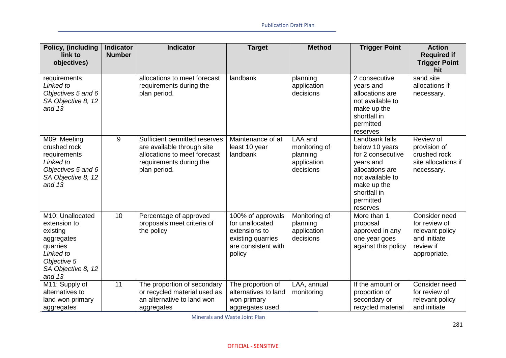| Policy, (including<br>link to<br>objectives)                                                                                         | <b>Indicator</b><br><b>Number</b> | <b>Indicator</b>                                                                                                                       | <b>Target</b>                                                                                               | <b>Method</b>                                                    | <b>Trigger Point</b>                                                                                                                                              | <b>Action</b><br><b>Required if</b><br><b>Trigger Point</b>                                    |
|--------------------------------------------------------------------------------------------------------------------------------------|-----------------------------------|----------------------------------------------------------------------------------------------------------------------------------------|-------------------------------------------------------------------------------------------------------------|------------------------------------------------------------------|-------------------------------------------------------------------------------------------------------------------------------------------------------------------|------------------------------------------------------------------------------------------------|
|                                                                                                                                      |                                   |                                                                                                                                        |                                                                                                             |                                                                  |                                                                                                                                                                   | hit                                                                                            |
| requirements<br>Linked to<br>Objectives 5 and 6<br>SA Objective 8, 12<br>and $13$                                                    |                                   | allocations to meet forecast<br>requirements during the<br>plan period.                                                                | landbank                                                                                                    | planning<br>application<br>decisions                             | 2 consecutive<br>years and<br>allocations are<br>not available to<br>make up the<br>shortfall in<br>permitted<br>reserves                                         | sand site<br>allocations if<br>necessary.                                                      |
| M09: Meeting<br>crushed rock<br>requirements<br>Linked to<br>Objectives 5 and 6<br>SA Objective 8, 12<br>and $13$                    | 9                                 | Sufficient permitted reserves<br>are available through site<br>allocations to meet forecast<br>requirements during the<br>plan period. | Maintenance of at<br>least 10 year<br>landbank                                                              | LAA and<br>monitoring of<br>planning<br>application<br>decisions | Landbank falls<br>below 10 years<br>for 2 consecutive<br>years and<br>allocations are<br>not available to<br>make up the<br>shortfall in<br>permitted<br>reserves | Review of<br>provision of<br>crushed rock<br>site allocations if<br>necessary.                 |
| M10: Unallocated<br>extension to<br>existing<br>aggregates<br>quarries<br>Linked to<br>Objective 5<br>SA Objective 8, 12<br>and $13$ | 10                                | Percentage of approved<br>proposals meet criteria of<br>the policy                                                                     | 100% of approvals<br>for unallocated<br>extensions to<br>existing quarries<br>are consistent with<br>policy | Monitoring of<br>planning<br>application<br>decisions            | More than 1<br>proposal<br>approved in any<br>one year goes<br>against this policy                                                                                | Consider need<br>for review of<br>relevant policy<br>and initiate<br>review if<br>appropriate. |
| M11: Supply of<br>alternatives to<br>land won primary<br>aggregates                                                                  | 11                                | The proportion of secondary<br>or recycled material used as<br>an alternative to land won<br>aggregates                                | The proportion of<br>alternatives to land<br>won primary<br>aggregates used                                 | LAA, annual<br>monitoring                                        | If the amount or<br>proportion of<br>secondary or<br>recycled material                                                                                            | Consider need<br>for review of<br>relevant policy<br>and initiate                              |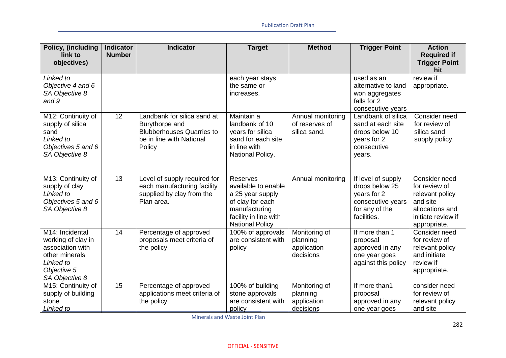| Policy, (including                                                                                                        | <b>Indicator</b> | <b>Indicator</b>                                                                                                        | <b>Target</b>                                                                                                                                      | <b>Method</b>                                         | <b>Trigger Point</b>                                                                                      | <b>Action</b>                                                                                                          |
|---------------------------------------------------------------------------------------------------------------------------|------------------|-------------------------------------------------------------------------------------------------------------------------|----------------------------------------------------------------------------------------------------------------------------------------------------|-------------------------------------------------------|-----------------------------------------------------------------------------------------------------------|------------------------------------------------------------------------------------------------------------------------|
| link to<br>objectives)                                                                                                    | <b>Number</b>    |                                                                                                                         |                                                                                                                                                    |                                                       |                                                                                                           | <b>Required if</b><br><b>Trigger Point</b><br>hit                                                                      |
| Linked to<br>Objective 4 and 6<br>SA Objective 8<br>and 9                                                                 |                  |                                                                                                                         | each year stays<br>the same or<br>increases.                                                                                                       |                                                       | used as an<br>alternative to land<br>won aggregates<br>falls for 2<br>consecutive years                   | review if<br>appropriate.                                                                                              |
| M12: Continuity of<br>supply of silica<br>sand<br>Linked to<br>Objectives 5 and 6<br>SA Objective 8                       | 12               | Landbank for silica sand at<br>Burythorpe and<br><b>Blubberhouses Quarries to</b><br>be in line with National<br>Policy | Maintain a<br>landbank of 10<br>years for silica<br>sand for each site<br>in line with<br>National Policy.                                         | Annual monitoring<br>of reserves of<br>silica sand.   | Landbank of silica<br>sand at each site<br>drops below 10<br>years for 2<br>consecutive<br>years.         | Consider need<br>for review of<br>silica sand<br>supply policy.                                                        |
| M13: Continuity of<br>supply of clay<br>Linked to<br>Objectives 5 and 6<br>SA Objective 8                                 | 13               | Level of supply required for<br>each manufacturing facility<br>supplied by clay from the<br>Plan area.                  | <b>Reserves</b><br>available to enable<br>a 25 year supply<br>of clay for each<br>manufacturing<br>facility in line with<br><b>National Policy</b> | Annual monitoring                                     | If level of supply<br>drops below 25<br>years for 2<br>consecutive years<br>for any of the<br>facilities. | Consider need<br>for review of<br>relevant policy<br>and site<br>allocations and<br>initiate review if<br>appropriate. |
| M14: Incidental<br>working of clay in<br>association with<br>other minerals<br>Linked to<br>Objective 5<br>SA Objective 8 | 14               | Percentage of approved<br>proposals meet criteria of<br>the policy                                                      | 100% of approvals<br>are consistent with<br>policy                                                                                                 | Monitoring of<br>planning<br>application<br>decisions | If more than 1<br>proposal<br>approved in any<br>one year goes<br>against this policy                     | Consider need<br>for review of<br>relevant policy<br>and initiate<br>review if<br>appropriate.                         |
| M15: Continuity of<br>supply of building<br>stone<br>Linked to                                                            | 15               | Percentage of approved<br>applications meet criteria of<br>the policy                                                   | 100% of building<br>stone approvals<br>are consistent with<br>policy                                                                               | Monitoring of<br>planning<br>application<br>decisions | If more than1<br>proposal<br>approved in any<br>one year goes                                             | consider need<br>for review of<br>relevant policy<br>and site                                                          |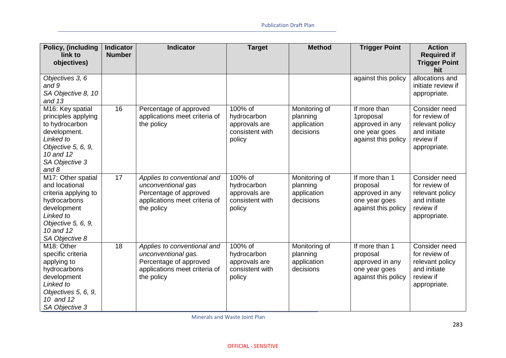| Policy, (including                                                                                                                                            | <b>Indicator</b> | <b>Indicator</b>                                                                                                            | <b>Target</b>                                                        | <b>Method</b>                                         | <b>Trigger Point</b>                                                                  | <b>Action</b>                                                                                  |
|---------------------------------------------------------------------------------------------------------------------------------------------------------------|------------------|-----------------------------------------------------------------------------------------------------------------------------|----------------------------------------------------------------------|-------------------------------------------------------|---------------------------------------------------------------------------------------|------------------------------------------------------------------------------------------------|
| link to<br>objectives)                                                                                                                                        | <b>Number</b>    |                                                                                                                             |                                                                      |                                                       |                                                                                       | <b>Required if</b><br><b>Trigger Point</b><br>hit                                              |
| Objectives 3, 6<br>and 9<br>SA Objective 8, 10<br>and $13$                                                                                                    |                  |                                                                                                                             |                                                                      |                                                       | against this policy                                                                   | allocations and<br>initiate review if<br>appropriate.                                          |
| M16: Key spatial<br>principles applying<br>to hydrocarbon<br>development.<br>Linked to<br>Objective 5, 6, 9,<br>10 and 12<br>SA Objective 3<br>and 8          | 16               | Percentage of approved<br>applications meet criteria of<br>the policy                                                       | 100% of<br>hydrocarbon<br>approvals are<br>consistent with<br>policy | Monitoring of<br>planning<br>application<br>decisions | If more than<br>1proposal<br>approved in any<br>one year goes<br>against this policy  | Consider need<br>for review of<br>relevant policy<br>and initiate<br>review if<br>appropriate. |
| M17: Other spatial<br>and locational<br>criteria applying to<br>hydrocarbons<br>development<br>Linked to<br>Objective 5, 6, 9,<br>10 and 12<br>SA Objective 8 | 17               | Applies to conventional and<br>unconventional gas<br>Percentage of approved<br>applications meet criteria of<br>the policy  | 100% of<br>hydrocarbon<br>approvals are<br>consistent with<br>policy | Monitoring of<br>planning<br>application<br>decisions | If more than 1<br>proposal<br>approved in any<br>one year goes<br>against this policy | Consider need<br>for review of<br>relevant policy<br>and initiate<br>review if<br>appropriate. |
| M <sub>18</sub> : Other<br>specific criteria<br>applying to<br>hydrocarbons<br>development<br>Linked to<br>Objectives 5, 6, 9,<br>10 and 12<br>SA Objective 3 | 18               | Applies to conventional and<br>unconventional gas.<br>Percentage of approved<br>applications meet criteria of<br>the policy | 100% of<br>hydrocarbon<br>approvals are<br>consistent with<br>policy | Monitoring of<br>planning<br>application<br>decisions | If more than 1<br>proposal<br>approved in any<br>one year goes<br>against this policy | Consider need<br>for review of<br>relevant policy<br>and initiate<br>review if<br>appropriate. |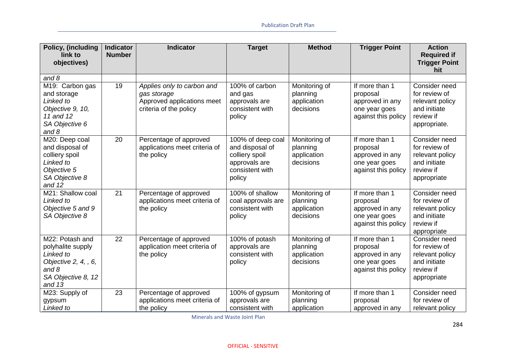| Policy, (including<br>link to<br>objectives)                                                                           | <b>Indicator</b><br><b>Number</b> | <b>Indicator</b>                                                                                  | <b>Target</b>                                                                                        | <b>Method</b>                                         | <b>Trigger Point</b>                                                                  | <b>Action</b><br><b>Required if</b><br><b>Trigger Point</b><br>hit                             |
|------------------------------------------------------------------------------------------------------------------------|-----------------------------------|---------------------------------------------------------------------------------------------------|------------------------------------------------------------------------------------------------------|-------------------------------------------------------|---------------------------------------------------------------------------------------|------------------------------------------------------------------------------------------------|
| and $8$                                                                                                                |                                   |                                                                                                   |                                                                                                      |                                                       |                                                                                       |                                                                                                |
| M19: Carbon gas<br>and storage<br>Linked to<br>Objective 9, 10,<br>11 and 12<br>SA Objective 6<br>and $8$              | 19                                | Applies only to carbon and<br>gas storage<br>Approved applications meet<br>criteria of the policy | 100% of carbon<br>and gas<br>approvals are<br>consistent with<br>policy                              | Monitoring of<br>planning<br>application<br>decisions | If more than 1<br>proposal<br>approved in any<br>one year goes<br>against this policy | Consider need<br>for review of<br>relevant policy<br>and initiate<br>review if<br>appropriate. |
| M20: Deep coal<br>and disposal of<br>colliery spoil<br>Linked to<br>Objective 5<br>SA Objective 8<br>and 12            | 20                                | Percentage of approved<br>applications meet criteria of<br>the policy                             | 100% of deep coal<br>and disposal of<br>colliery spoil<br>approvals are<br>consistent with<br>policy | Monitoring of<br>planning<br>application<br>decisions | If more than 1<br>proposal<br>approved in any<br>one year goes<br>against this policy | Consider need<br>for review of<br>relevant policy<br>and initiate<br>review if<br>appropriate  |
| M21: Shallow coal<br>Linked to<br>Objective 5 and 9<br>SA Objective 8                                                  | 21                                | Percentage of approved<br>applications meet criteria of<br>the policy                             | 100% of shallow<br>coal approvals are<br>consistent with<br>policy                                   | Monitoring of<br>planning<br>application<br>decisions | If more than 1<br>proposal<br>approved in any<br>one year goes<br>against this policy | Consider need<br>for review of<br>relevant policy<br>and initiate<br>review if<br>appropriate  |
| M22: Potash and<br>polyhalite supply<br>Linked to<br>Objective 2, 4, , 6,<br>and $8$<br>SA Objective 8, 12<br>and $13$ | 22                                | Percentage of approved<br>application meet criteria of<br>the policy                              | 100% of potash<br>approvals are<br>consistent with<br>policy                                         | Monitoring of<br>planning<br>application<br>decisions | If more than 1<br>proposal<br>approved in any<br>one year goes<br>against this policy | Consider need<br>for review of<br>relevant policy<br>and initiate<br>review if<br>appropriate  |
| M23: Supply of<br>gypsum<br>Linked to                                                                                  | 23                                | Percentage of approved<br>applications meet criteria of<br>the policy                             | 100% of gypsum<br>approvals are<br>consistent with                                                   | Monitoring of<br>planning<br>application              | If more than 1<br>proposal<br>approved in any                                         | Consider need<br>for review of<br>relevant policy                                              |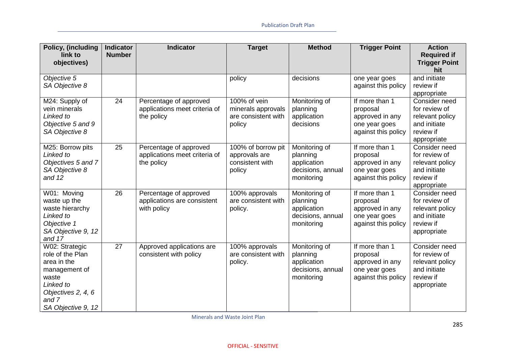| Policy, (including<br>link to<br>objectives)                                                                                                  | <b>Indicator</b><br><b>Number</b> | <b>Indicator</b>                                                      | <b>Target</b>                                                       | <b>Method</b>                                                               | <b>Trigger Point</b>                                                                  | <b>Action</b><br><b>Required if</b><br><b>Trigger Point</b><br>hit                            |
|-----------------------------------------------------------------------------------------------------------------------------------------------|-----------------------------------|-----------------------------------------------------------------------|---------------------------------------------------------------------|-----------------------------------------------------------------------------|---------------------------------------------------------------------------------------|-----------------------------------------------------------------------------------------------|
| Objective 5<br>SA Objective 8                                                                                                                 |                                   |                                                                       | policy                                                              | decisions                                                                   | one year goes<br>against this policy                                                  | and initiate<br>review if<br>appropriate                                                      |
| M24: Supply of<br>vein minerals<br>Linked to<br>Objective 5 and 9<br>SA Objective 8                                                           | 24                                | Percentage of approved<br>applications meet criteria of<br>the policy | 100% of vein<br>minerals approvals<br>are consistent with<br>policy | Monitoring of<br>planning<br>application<br>decisions                       | If more than 1<br>proposal<br>approved in any<br>one year goes<br>against this policy | Consider need<br>for review of<br>relevant policy<br>and initiate<br>review if<br>appropriate |
| M25: Borrow pits<br>Linked to<br>Objectives 5 and 7<br>SA Objective 8<br>and 12                                                               | $\overline{25}$                   | Percentage of approved<br>applications meet criteria of<br>the policy | 100% of borrow pit<br>approvals are<br>consistent with<br>policy    | Monitoring of<br>planning<br>application<br>decisions, annual<br>monitoring | If more than 1<br>proposal<br>approved in any<br>one year goes<br>against this policy | Consider need<br>for review of<br>relevant policy<br>and initiate<br>review if<br>appropriate |
| W01: Moving<br>waste up the<br>waste hierarchy<br>Linked to<br>Objective 1<br>SA Objective 9, 12<br>and 17                                    | 26                                | Percentage of approved<br>applications are consistent<br>with policy  | 100% approvals<br>are consistent with<br>policy.                    | Monitoring of<br>planning<br>application<br>decisions, annual<br>monitoring | If more than 1<br>proposal<br>approved in any<br>one year goes<br>against this policy | Consider need<br>for review of<br>relevant policy<br>and initiate<br>review if<br>appropriate |
| W02: Strategic<br>role of the Plan<br>area in the<br>management of<br>waste<br>Linked to<br>Objectives 2, 4, 6<br>and 7<br>SA Objective 9, 12 | 27                                | Approved applications are<br>consistent with policy                   | 100% approvals<br>are consistent with<br>policy.                    | Monitoring of<br>planning<br>application<br>decisions, annual<br>monitoring | If more than 1<br>proposal<br>approved in any<br>one year goes<br>against this policy | Consider need<br>for review of<br>relevant policy<br>and initiate<br>review if<br>appropriate |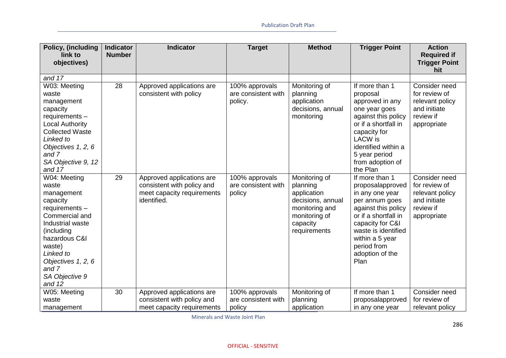| Policy, (including<br>link to<br>objectives)                                                                                                                                                                             | <b>Indicator</b><br><b>Number</b> | <b>Indicator</b>                                                                                     | <b>Target</b>                                    | <b>Method</b>                                                                                                                | <b>Trigger Point</b>                                                                                                                                                                                                           | <b>Action</b><br><b>Required if</b><br><b>Trigger Point</b><br>hit                            |
|--------------------------------------------------------------------------------------------------------------------------------------------------------------------------------------------------------------------------|-----------------------------------|------------------------------------------------------------------------------------------------------|--------------------------------------------------|------------------------------------------------------------------------------------------------------------------------------|--------------------------------------------------------------------------------------------------------------------------------------------------------------------------------------------------------------------------------|-----------------------------------------------------------------------------------------------|
| and 17                                                                                                                                                                                                                   |                                   |                                                                                                      |                                                  |                                                                                                                              |                                                                                                                                                                                                                                |                                                                                               |
| W03: Meeting<br>waste<br>management<br>capacity<br>requirements -<br><b>Local Authority</b><br><b>Collected Waste</b><br>Linked to<br>Objectives 1, 2, 6<br>and 7<br>SA Objective 9, 12<br>and 17                        | 28                                | Approved applications are<br>consistent with policy                                                  | 100% approvals<br>are consistent with<br>policy. | Monitoring of<br>planning<br>application<br>decisions, annual<br>monitoring                                                  | If more than 1<br>proposal<br>approved in any<br>one year goes<br>against this policy<br>or if a shortfall in<br>capacity for<br><b>LACW</b> is<br>identified within a<br>5 year period<br>from adoption of<br>the Plan        | Consider need<br>for review of<br>relevant policy<br>and initiate<br>review if<br>appropriate |
| W04: Meeting<br>waste<br>management<br>capacity<br>requirements -<br>Commercial and<br>Industrial waste<br>(including<br>hazardous C&I<br>waste)<br>Linked to<br>Objectives 1, 2, 6<br>and 7<br>SA Objective 9<br>and 12 | 29                                | Approved applications are<br>consistent with policy and<br>meet capacity requirements<br>identified. | 100% approvals<br>are consistent with<br>policy  | Monitoring of<br>planning<br>application<br>decisions, annual<br>monitoring and<br>monitoring of<br>capacity<br>requirements | If more than 1<br>proposalapproved<br>in any one year<br>per annum goes<br>against this policy<br>or if a shortfall in<br>capacity for C&I<br>waste is identified<br>within a 5 year<br>period from<br>adoption of the<br>Plan | Consider need<br>for review of<br>relevant policy<br>and initiate<br>review if<br>appropriate |
| W05: Meeting                                                                                                                                                                                                             | 30                                | Approved applications are                                                                            | 100% approvals                                   | Monitoring of                                                                                                                | If more than 1                                                                                                                                                                                                                 | Consider need                                                                                 |
| waste                                                                                                                                                                                                                    |                                   | consistent with policy and                                                                           | are consistent with                              | planning                                                                                                                     | proposalapproved                                                                                                                                                                                                               | for review of                                                                                 |
| management                                                                                                                                                                                                               |                                   | meet capacity requirements                                                                           | policy                                           | application                                                                                                                  | in any one year                                                                                                                                                                                                                | relevant policy                                                                               |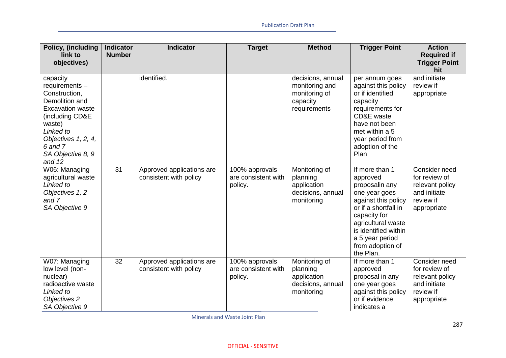| Policy, (including<br>link to<br>objectives)                                                                                                                                                        | <b>Indicator</b><br><b>Number</b> | <b>Indicator</b>                                    | <b>Target</b>                                    | <b>Method</b>                                                                    | <b>Trigger Point</b>                                                                                                                                                                                                           | <b>Action</b><br><b>Required if</b><br><b>Trigger Point</b>                                   |
|-----------------------------------------------------------------------------------------------------------------------------------------------------------------------------------------------------|-----------------------------------|-----------------------------------------------------|--------------------------------------------------|----------------------------------------------------------------------------------|--------------------------------------------------------------------------------------------------------------------------------------------------------------------------------------------------------------------------------|-----------------------------------------------------------------------------------------------|
| capacity<br>requirements -<br>Construction,<br>Demolition and<br><b>Excavation waste</b><br>(including CD&E<br>waste)<br>Linked to<br>Objectives 1, 2, 4,<br>6 and 7<br>SA Objective 8, 9<br>and 12 |                                   | identified.                                         |                                                  | decisions, annual<br>monitoring and<br>monitoring of<br>capacity<br>requirements | per annum goes<br>against this policy<br>or if identified<br>capacity<br>requirements for<br>CD&E waste<br>have not been<br>met within a 5<br>year period from<br>adoption of the<br>Plan                                      | hit<br>and initiate<br>review if<br>appropriate                                               |
| W06: Managing<br>agricultural waste<br>Linked to<br>Objectives 1, 2<br>and 7<br>SA Objective 9                                                                                                      | 31                                | Approved applications are<br>consistent with policy | 100% approvals<br>are consistent with<br>policy. | Monitoring of<br>planning<br>application<br>decisions, annual<br>monitoring      | If more than 1<br>approved<br>proposalin any<br>one year goes<br>against this policy<br>or if a shortfall in<br>capacity for<br>agricultural waste<br>is identified within<br>a 5 year period<br>from adoption of<br>the Plan. | Consider need<br>for review of<br>relevant policy<br>and initiate<br>review if<br>appropriate |
| W07: Managing<br>low level (non-<br>nuclear)<br>radioactive waste<br>Linked to<br>Objectives 2<br>SA Objective 9                                                                                    | 32                                | Approved applications are<br>consistent with policy | 100% approvals<br>are consistent with<br>policy. | Monitoring of<br>planning<br>application<br>decisions, annual<br>monitoring      | If more than 1<br>approved<br>proposal in any<br>one year goes<br>against this policy<br>or if evidence<br>indicates a                                                                                                         | Consider need<br>for review of<br>relevant policy<br>and initiate<br>review if<br>appropriate |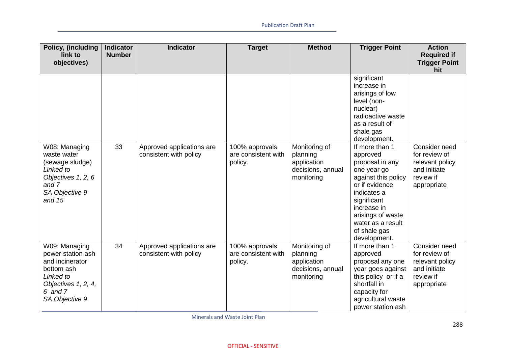| Policy, (including                                                                                                                       | <b>Indicator</b> | <b>Indicator</b>                                    | <b>Target</b>                                    | <b>Method</b>                                                               | <b>Trigger Point</b>                                                                                                                                                                                                         | <b>Action</b>                                                                                 |
|------------------------------------------------------------------------------------------------------------------------------------------|------------------|-----------------------------------------------------|--------------------------------------------------|-----------------------------------------------------------------------------|------------------------------------------------------------------------------------------------------------------------------------------------------------------------------------------------------------------------------|-----------------------------------------------------------------------------------------------|
| link to<br>objectives)                                                                                                                   | <b>Number</b>    |                                                     |                                                  |                                                                             |                                                                                                                                                                                                                              | <b>Required if</b><br><b>Trigger Point</b><br>hit                                             |
|                                                                                                                                          |                  |                                                     |                                                  |                                                                             | significant<br>increase in<br>arisings of low<br>level (non-<br>nuclear)<br>radioactive waste<br>as a result of<br>shale gas<br>development.                                                                                 |                                                                                               |
| W08: Managing<br>waste water<br>(sewage sludge)<br>Linked to<br>Objectives 1, 2, 6<br>and 7<br>SA Objective 9<br>and $15$                | 33               | Approved applications are<br>consistent with policy | 100% approvals<br>are consistent with<br>policy. | Monitoring of<br>planning<br>application<br>decisions, annual<br>monitoring | If more than 1<br>approved<br>proposal in any<br>one year go<br>against this policy<br>or if evidence<br>indicates a<br>significant<br>increase in<br>arisings of waste<br>water as a result<br>of shale gas<br>development. | Consider need<br>for review of<br>relevant policy<br>and initiate<br>review if<br>appropriate |
| W09: Managing<br>power station ash<br>and incinerator<br>bottom ash<br>Linked to<br>Objectives 1, 2, 4,<br>$6$ and $7$<br>SA Objective 9 | 34               | Approved applications are<br>consistent with policy | 100% approvals<br>are consistent with<br>policy. | Monitoring of<br>planning<br>application<br>decisions, annual<br>monitoring | If more than 1<br>approved<br>proposal any one<br>year goes against<br>this policy or if a<br>shortfall in<br>capacity for<br>agricultural waste<br>power station ash                                                        | Consider need<br>for review of<br>relevant policy<br>and initiate<br>review if<br>appropriate |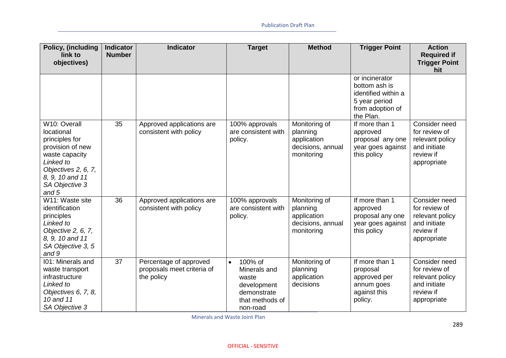| Policy, (including<br>link to<br>objectives)                                                                                                                           | <b>Indicator</b><br><b>Number</b> | <b>Indicator</b>                                                   | <b>Target</b>                                                                                              | <b>Method</b>                                                               | <b>Trigger Point</b>                                                                                     | <b>Action</b><br><b>Required if</b><br><b>Trigger Point</b>                                   |
|------------------------------------------------------------------------------------------------------------------------------------------------------------------------|-----------------------------------|--------------------------------------------------------------------|------------------------------------------------------------------------------------------------------------|-----------------------------------------------------------------------------|----------------------------------------------------------------------------------------------------------|-----------------------------------------------------------------------------------------------|
|                                                                                                                                                                        |                                   |                                                                    |                                                                                                            |                                                                             |                                                                                                          | hit                                                                                           |
|                                                                                                                                                                        |                                   |                                                                    |                                                                                                            |                                                                             | or incinerator<br>bottom ash is<br>identified within a<br>5 year period<br>from adoption of<br>the Plan. |                                                                                               |
| W10: Overall<br>locational<br>principles for<br>provision of new<br>waste capacity<br>Linked to<br>Objectives 2, 6, 7,<br>8, 9, 10 and 11<br>SA Objective 3<br>and $5$ | 35                                | Approved applications are<br>consistent with policy                | 100% approvals<br>are consistent with<br>policy.                                                           | Monitoring of<br>planning<br>application<br>decisions, annual<br>monitoring | If more than 1<br>approved<br>proposal any one<br>year goes against<br>this policy                       | Consider need<br>for review of<br>relevant policy<br>and initiate<br>review if<br>appropriate |
| W11: Waste site<br>identification<br>principles<br>Linked to<br>Objective 2, 6, 7,<br>8, 9, 10 and 11<br>SA Objective 3, 5<br>and 9                                    | 36                                | Approved applications are<br>consistent with policy                | 100% approvals<br>are consistent with<br>policy.                                                           | Monitoring of<br>planning<br>application<br>decisions, annual<br>monitoring | If more than 1<br>approved<br>proposal any one<br>year goes against<br>this policy                       | Consider need<br>for review of<br>relevant policy<br>and initiate<br>review if<br>appropriate |
| 101: Minerals and<br>waste transport<br>infrastructure<br>Linked to<br>Objectives 6, 7, 8,<br>10 and 11<br>SA Objective 3                                              | 37                                | Percentage of approved<br>proposals meet criteria of<br>the policy | 100% of<br>$\bullet$<br>Minerals and<br>waste<br>development<br>demonstrate<br>that methods of<br>non-road | Monitoring of<br>planning<br>application<br>decisions                       | If more than 1<br>proposal<br>approved per<br>annum goes<br>against this<br>policy.                      | Consider need<br>for review of<br>relevant policy<br>and initiate<br>review if<br>appropriate |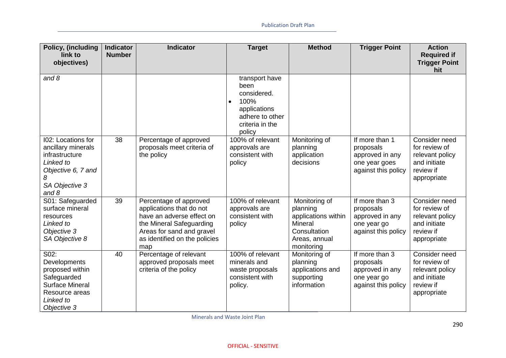| Policy, (including<br>link to                                                                                                          | <b>Indicator</b><br><b>Number</b> | <b>Indicator</b>                                                                                                                                                                 | <b>Target</b>                                                                                                              | <b>Method</b>                                                                                              | <b>Trigger Point</b>                                                                   | <b>Action</b><br><b>Required if</b>                                                           |
|----------------------------------------------------------------------------------------------------------------------------------------|-----------------------------------|----------------------------------------------------------------------------------------------------------------------------------------------------------------------------------|----------------------------------------------------------------------------------------------------------------------------|------------------------------------------------------------------------------------------------------------|----------------------------------------------------------------------------------------|-----------------------------------------------------------------------------------------------|
| objectives)                                                                                                                            |                                   |                                                                                                                                                                                  |                                                                                                                            |                                                                                                            |                                                                                        | <b>Trigger Point</b><br>hit                                                                   |
| and $8$                                                                                                                                |                                   |                                                                                                                                                                                  | transport have<br>been<br>considered.<br>100%<br>$\bullet$<br>applications<br>adhere to other<br>criteria in the<br>policy |                                                                                                            |                                                                                        |                                                                                               |
| <b>I02: Locations for</b><br>ancillary minerals<br>infrastructure<br>Linked to<br>Objective 6, 7 and<br>8<br>SA Objective 3<br>and $8$ | 38                                | Percentage of approved<br>proposals meet criteria of<br>the policy                                                                                                               | 100% of relevant<br>approvals are<br>consistent with<br>policy                                                             | Monitoring of<br>planning<br>application<br>decisions                                                      | If more than 1<br>proposals<br>approved in any<br>one year goes<br>against this policy | Consider need<br>for review of<br>relevant policy<br>and initiate<br>review if<br>appropriate |
| S01: Safeguarded<br>surface mineral<br>resources<br>Linked to<br>Objective 3<br>SA Objective 8                                         | 39                                | Percentage of approved<br>applications that do not<br>have an adverse effect on<br>the Mineral Safeguarding<br>Areas for sand and gravel<br>as identified on the policies<br>map | 100% of relevant<br>approvals are<br>consistent with<br>policy                                                             | Monitoring of<br>planning<br>applications within<br>Mineral<br>Consultation<br>Areas, annual<br>monitoring | If more than 3<br>proposals<br>approved in any<br>one year go<br>against this policy   | Consider need<br>for review of<br>relevant policy<br>and initiate<br>review if<br>appropriate |
| S02:<br>Developments<br>proposed within<br>Safeguarded<br><b>Surface Mineral</b><br>Resource areas<br>Linked to<br>Objective 3         | 40                                | Percentage of relevant<br>approved proposals meet<br>criteria of the policy                                                                                                      | 100% of relevant<br>minerals and<br>waste proposals<br>consistent with<br>policy.                                          | Monitoring of<br>planning<br>applications and<br>supporting<br>information                                 | If more than 3<br>proposals<br>approved in any<br>one year go<br>against this policy   | Consider need<br>for review of<br>relevant policy<br>and initiate<br>review if<br>appropriate |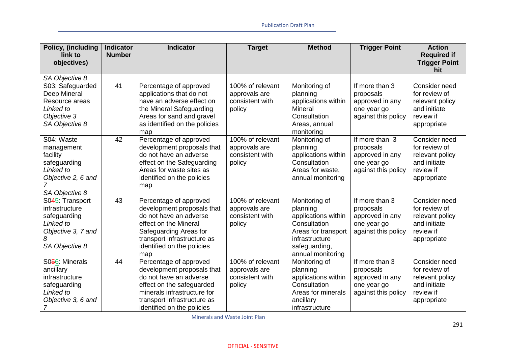| Policy, (including     | <b>Indicator</b> | <b>Indicator</b>              | <b>Target</b>    | <b>Method</b>       | <b>Trigger Point</b> | <b>Action</b>                              |
|------------------------|------------------|-------------------------------|------------------|---------------------|----------------------|--------------------------------------------|
| link to<br>objectives) | <b>Number</b>    |                               |                  |                     |                      | <b>Required if</b><br><b>Trigger Point</b> |
|                        |                  |                               |                  |                     |                      | hit                                        |
| SA Objective 8         |                  |                               |                  |                     |                      |                                            |
| S03: Safeguarded       | 41               | Percentage of approved        | 100% of relevant | Monitoring of       | If more than 3       | Consider need                              |
| Deep Mineral           |                  | applications that do not      | approvals are    | planning            | proposals            | for review of                              |
| Resource areas         |                  | have an adverse effect on     | consistent with  | applications within | approved in any      | relevant policy                            |
| Linked to              |                  | the Mineral Safeguarding      | policy           | Mineral             | one year go          | and initiate                               |
| Objective 3            |                  | Areas for sand and gravel     |                  | Consultation        | against this policy  | review if                                  |
| SA Objective 8         |                  | as identified on the policies |                  | Areas, annual       |                      | appropriate                                |
|                        |                  | map                           |                  | monitoring          |                      |                                            |
| S04: Waste             | 42               | Percentage of approved        | 100% of relevant | Monitoring of       | If more than 3       | Consider need                              |
| management             |                  | development proposals that    | approvals are    | planning            | proposals            | for review of                              |
| facility               |                  | do not have an adverse        | consistent with  | applications within | approved in any      | relevant policy                            |
| safeguarding           |                  | effect on the Safeguarding    | policy           | Consultation        | one year go          | and initiate                               |
| Linked to              |                  | Areas for waste sites as      |                  | Areas for waste,    | against this policy  | review if                                  |
| Objective 2, 6 and     |                  | identified on the policies    |                  | annual monitoring   |                      | appropriate                                |
| SA Objective 8         |                  | map                           |                  |                     |                      |                                            |
| S045: Transport        | 43               | Percentage of approved        | 100% of relevant | Monitoring of       | If more than 3       | Consider need                              |
| infrastructure         |                  | development proposals that    | approvals are    | planning            | proposals            | for review of                              |
| safeguarding           |                  | do not have an adverse        | consistent with  | applications within | approved in any      | relevant policy                            |
| Linked to              |                  | effect on the Mineral         | policy           | Consultation        | one year go          | and initiate                               |
| Objective 3, 7 and     |                  | Safeguarding Areas for        |                  | Areas for transport | against this policy  | review if                                  |
| 8                      |                  | transport infrastructure as   |                  | infrastructure      |                      | appropriate                                |
| SA Objective 8         |                  | identified on the policies    |                  | safeguarding,       |                      |                                            |
|                        |                  | map                           |                  | annual monitoring   |                      |                                            |
| S056: Minerals         | 44               | Percentage of approved        | 100% of relevant | Monitoring of       | If more than 3       | Consider need                              |
| ancillary              |                  | development proposals that    | approvals are    | planning            | proposals            | for review of                              |
| infrastructure         |                  | do not have an adverse        | consistent with  | applications within | approved in any      | relevant policy                            |
| safeguarding           |                  | effect on the safeguarded     | policy           | Consultation        | one year go          | and initiate                               |
| Linked to              |                  | minerals infrastructure for   |                  | Areas for minerals  | against this policy  | review if                                  |
| Objective 3, 6 and     |                  | transport infrastructure as   |                  | ancillary           |                      | appropriate                                |
| 7                      |                  | identified on the policies    |                  | infrastructure      |                      |                                            |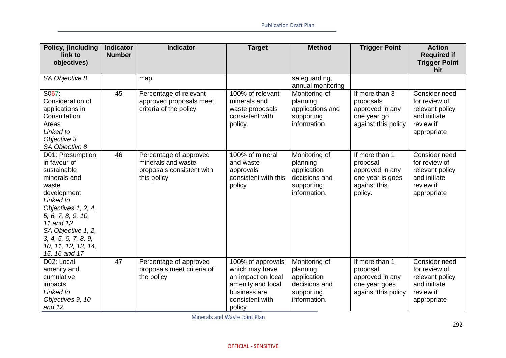| Policy, (including              | <b>Indicator</b> | <b>Indicator</b>           | <b>Target</b>        | <b>Method</b>     | <b>Trigger Point</b> | <b>Action</b>               |
|---------------------------------|------------------|----------------------------|----------------------|-------------------|----------------------|-----------------------------|
| link to                         | <b>Number</b>    |                            |                      |                   |                      | <b>Required if</b>          |
| objectives)                     |                  |                            |                      |                   |                      | <b>Trigger Point</b><br>hit |
| SA Objective 8                  |                  | map                        |                      | safeguarding,     |                      |                             |
|                                 |                  |                            |                      | annual monitoring |                      |                             |
| S067:                           | 45               | Percentage of relevant     | 100% of relevant     | Monitoring of     | If more than 3       | Consider need               |
| Consideration of                |                  | approved proposals meet    | minerals and         | planning          | proposals            | for review of               |
| applications in                 |                  | criteria of the policy     | waste proposals      | applications and  | approved in any      | relevant policy             |
| Consultation                    |                  |                            | consistent with      | supporting        | one year go          | and initiate                |
| Areas                           |                  |                            | policy.              | information       | against this policy  | review if                   |
| Linked to                       |                  |                            |                      |                   |                      | appropriate                 |
| Objective 3                     |                  |                            |                      |                   |                      |                             |
| SA Objective 8                  |                  |                            |                      |                   |                      |                             |
| D01: Presumption                | 46               | Percentage of approved     | 100% of mineral      | Monitoring of     | If more than 1       | Consider need               |
| in favour of                    |                  | minerals and waste         | and waste            | planning          | proposal             | for review of               |
| sustainable                     |                  | proposals consistent with  | approvals            | application       | approved in any      | relevant policy             |
| minerals and                    |                  | this policy                | consistent with this | decisions and     | one year is goes     | and initiate                |
| waste                           |                  |                            | policy               | supporting        | against this         | review if                   |
| development                     |                  |                            |                      | information.      | policy.              | appropriate                 |
| Linked to                       |                  |                            |                      |                   |                      |                             |
| Objectives 1, 2, 4,             |                  |                            |                      |                   |                      |                             |
| 5, 6, 7, 8, 9, 10,<br>11 and 12 |                  |                            |                      |                   |                      |                             |
| SA Objective 1, 2,              |                  |                            |                      |                   |                      |                             |
| 3, 4, 5, 6, 7, 8, 9,            |                  |                            |                      |                   |                      |                             |
| 10, 11, 12, 13, 14,             |                  |                            |                      |                   |                      |                             |
| 15, 16 and 17                   |                  |                            |                      |                   |                      |                             |
| D02: Local                      | 47               | Percentage of approved     | 100% of approvals    | Monitoring of     | If more than 1       | Consider need               |
| amenity and                     |                  | proposals meet criteria of | which may have       | planning          | proposal             | for review of               |
| cumulative                      |                  | the policy                 | an impact on local   | application       | approved in any      | relevant policy             |
| impacts                         |                  |                            | amenity and local    | decisions and     | one year goes        | and initiate                |
| Linked to                       |                  |                            | business are         | supporting        | against this policy  | review if                   |
| Objectives 9, 10                |                  |                            | consistent with      | information.      |                      | appropriate                 |
| and 12                          |                  |                            | policy               |                   |                      |                             |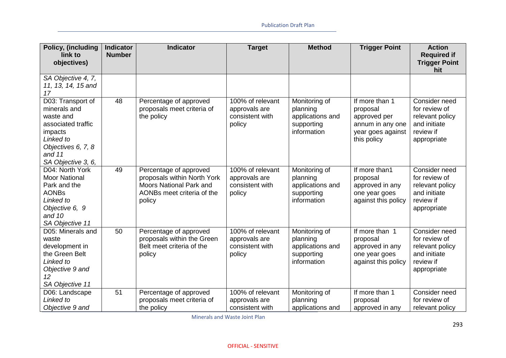| Policy, (including<br>link to                                                                                                                        | <b>Indicator</b><br><b>Number</b> | <b>Indicator</b>                                                                                                         | <b>Target</b>                                                  | <b>Method</b>                                                              | <b>Trigger Point</b>                                                                               | <b>Action</b><br><b>Required if</b>                                                           |
|------------------------------------------------------------------------------------------------------------------------------------------------------|-----------------------------------|--------------------------------------------------------------------------------------------------------------------------|----------------------------------------------------------------|----------------------------------------------------------------------------|----------------------------------------------------------------------------------------------------|-----------------------------------------------------------------------------------------------|
| objectives)                                                                                                                                          |                                   |                                                                                                                          |                                                                |                                                                            |                                                                                                    | <b>Trigger Point</b><br>hit                                                                   |
| SA Objective 4, 7,<br>11, 13, 14, 15 and<br>17                                                                                                       |                                   |                                                                                                                          |                                                                |                                                                            |                                                                                                    |                                                                                               |
| D03: Transport of<br>minerals and<br>waste and<br>associated traffic<br>impacts<br>Linked to<br>Objectives 6, 7, 8<br>and $11$<br>SA Objective 3, 6, | $\overline{48}$                   | Percentage of approved<br>proposals meet criteria of<br>the policy                                                       | 100% of relevant<br>approvals are<br>consistent with<br>policy | Monitoring of<br>planning<br>applications and<br>supporting<br>information | If more than 1<br>proposal<br>approved per<br>annum in any one<br>year goes against<br>this policy | Consider need<br>for review of<br>relevant policy<br>and initiate<br>review if<br>appropriate |
| D04: North York<br><b>Moor National</b><br>Park and the<br><b>AONBs</b><br>Linked to<br>Objective 6, 9<br>and 10<br>SA Objective 11                  | 49                                | Percentage of approved<br>proposals within North York<br>Moors National Park and<br>AONBs meet criteria of the<br>policy | 100% of relevant<br>approvals are<br>consistent with<br>policy | Monitoring of<br>planning<br>applications and<br>supporting<br>information | If more than1<br>proposal<br>approved in any<br>one year goes<br>against this policy               | Consider need<br>for review of<br>relevant policy<br>and initiate<br>review if<br>appropriate |
| D05: Minerals and<br>waste<br>development in<br>the Green Belt<br>Linked to<br>Objective 9 and<br>12<br>SA Objective 11                              | 50                                | Percentage of approved<br>proposals within the Green<br>Belt meet criteria of the<br>policy                              | 100% of relevant<br>approvals are<br>consistent with<br>policy | Monitoring of<br>planning<br>applications and<br>supporting<br>information | If more than 1<br>proposal<br>approved in any<br>one year goes<br>against this policy              | Consider need<br>for review of<br>relevant policy<br>and initiate<br>review if<br>appropriate |
| D06: Landscape<br>Linked to<br>Objective 9 and                                                                                                       | 51                                | Percentage of approved<br>proposals meet criteria of<br>the policy                                                       | 100% of relevant<br>approvals are<br>consistent with           | Monitoring of<br>planning<br>applications and                              | If more than 1<br>proposal<br>approved in any                                                      | Consider need<br>for review of<br>relevant policy                                             |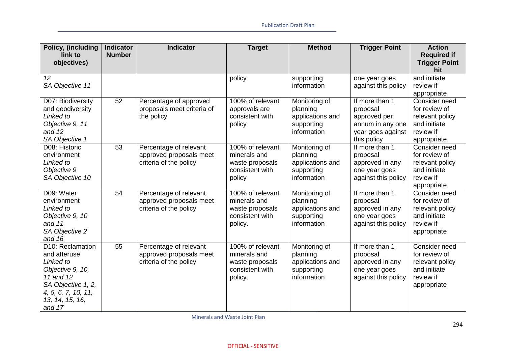| Policy, (including                                                                                                                                       | <b>Indicator</b> | <b>Indicator</b>                                                            | <b>Target</b>                                                                     | <b>Method</b>                                                              | <b>Trigger Point</b>                                                                               | <b>Action</b>                                                                                 |
|----------------------------------------------------------------------------------------------------------------------------------------------------------|------------------|-----------------------------------------------------------------------------|-----------------------------------------------------------------------------------|----------------------------------------------------------------------------|----------------------------------------------------------------------------------------------------|-----------------------------------------------------------------------------------------------|
| link to<br>objectives)                                                                                                                                   | <b>Number</b>    |                                                                             |                                                                                   |                                                                            |                                                                                                    | <b>Required if</b><br><b>Trigger Point</b><br>hit                                             |
| 12<br>SA Objective 11                                                                                                                                    |                  |                                                                             | policy                                                                            | supporting<br>information                                                  | one year goes<br>against this policy                                                               | and initiate<br>review if<br>appropriate                                                      |
| D07: Biodiversity<br>and geodiversity<br>Linked to<br>Objective 9, 11<br>and 12<br>SA Objective 1                                                        | 52               | Percentage of approved<br>proposals meet criteria of<br>the policy          | 100% of relevant<br>approvals are<br>consistent with<br>policy                    | Monitoring of<br>planning<br>applications and<br>supporting<br>information | If more than 1<br>proposal<br>approved per<br>annum in any one<br>year goes against<br>this policy | Consider need<br>for review of<br>relevant policy<br>and initiate<br>review if<br>appropriate |
| D08: Historic<br>environment<br>Linked to<br>Objective 9<br>SA Objective 10                                                                              | $\overline{53}$  | Percentage of relevant<br>approved proposals meet<br>criteria of the policy | 100% of relevant<br>minerals and<br>waste proposals<br>consistent with<br>policy  | Monitoring of<br>planning<br>applications and<br>supporting<br>information | If more than 1<br>proposal<br>approved in any<br>one year goes<br>against this policy              | Consider need<br>for review of<br>relevant policy<br>and initiate<br>review if<br>appropriate |
| D09: Water<br>environment<br>Linked to<br>Objective 9, 10<br>and $11$<br>SA Objective 2<br>and $16$                                                      | 54               | Percentage of relevant<br>approved proposals meet<br>criteria of the policy | 100% of relevant<br>minerals and<br>waste proposals<br>consistent with<br>policy. | Monitoring of<br>planning<br>applications and<br>supporting<br>information | If more than 1<br>proposal<br>approved in any<br>one year goes<br>against this policy              | Consider need<br>for review of<br>relevant policy<br>and initiate<br>review if<br>appropriate |
| D10: Reclamation<br>and afteruse<br>Linked to<br>Objective 9, 10,<br>11 and 12<br>SA Objective 1, 2,<br>4, 5, 6, 7, 10, 11,<br>13, 14, 15, 16,<br>and 17 | 55               | Percentage of relevant<br>approved proposals meet<br>criteria of the policy | 100% of relevant<br>minerals and<br>waste proposals<br>consistent with<br>policy. | Monitoring of<br>planning<br>applications and<br>supporting<br>information | If more than 1<br>proposal<br>approved in any<br>one year goes<br>against this policy              | Consider need<br>for review of<br>relevant policy<br>and initiate<br>review if<br>appropriate |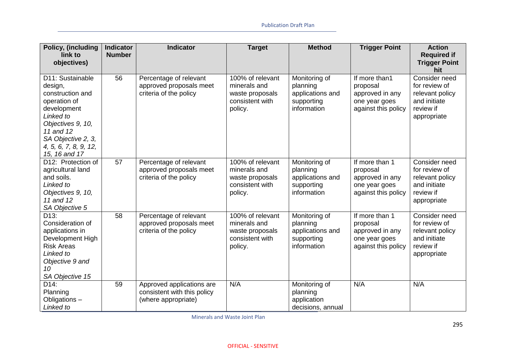| <b>Policy, (including</b><br>link to<br>objectives)                                                                                                                                           | <b>Indicator</b><br><b>Number</b> | <b>Indicator</b>                                                                | <b>Target</b>                                                                     | <b>Method</b>                                                              | <b>Trigger Point</b>                                                                  | <b>Action</b><br><b>Required if</b><br><b>Trigger Point</b>                                   |
|-----------------------------------------------------------------------------------------------------------------------------------------------------------------------------------------------|-----------------------------------|---------------------------------------------------------------------------------|-----------------------------------------------------------------------------------|----------------------------------------------------------------------------|---------------------------------------------------------------------------------------|-----------------------------------------------------------------------------------------------|
|                                                                                                                                                                                               |                                   |                                                                                 |                                                                                   |                                                                            |                                                                                       | hit                                                                                           |
| D11: Sustainable<br>design,<br>construction and<br>operation of<br>development<br>Linked to<br>Objectives 9, 10,<br>11 and 12<br>SA Objective 2, 3,<br>4, 5, 6, 7, 8, 9, 12,<br>15, 16 and 17 | 56                                | Percentage of relevant<br>approved proposals meet<br>criteria of the policy     | 100% of relevant<br>minerals and<br>waste proposals<br>consistent with<br>policy. | Monitoring of<br>planning<br>applications and<br>supporting<br>information | If more than1<br>proposal<br>approved in any<br>one year goes<br>against this policy  | Consider need<br>for review of<br>relevant policy<br>and initiate<br>review if<br>appropriate |
| D12: Protection of<br>agricultural land<br>and soils.<br>Linked to<br>Objectives 9, 10,<br>11 and 12<br>SA Objective 5                                                                        | 57                                | Percentage of relevant<br>approved proposals meet<br>criteria of the policy     | 100% of relevant<br>minerals and<br>waste proposals<br>consistent with<br>policy. | Monitoring of<br>planning<br>applications and<br>supporting<br>information | If more than 1<br>proposal<br>approved in any<br>one year goes<br>against this policy | Consider need<br>for review of<br>relevant policy<br>and initiate<br>review if<br>appropriate |
| D <sub>13</sub> :<br>Consideration of<br>applications in<br>Development High<br><b>Risk Areas</b><br>Linked to<br>Objective 9 and<br>10<br>SA Objective 15                                    | 58                                | Percentage of relevant<br>approved proposals meet<br>criteria of the policy     | 100% of relevant<br>minerals and<br>waste proposals<br>consistent with<br>policy. | Monitoring of<br>planning<br>applications and<br>supporting<br>information | If more than 1<br>proposal<br>approved in any<br>one year goes<br>against this policy | Consider need<br>for review of<br>relevant policy<br>and initiate<br>review if<br>appropriate |
| D14:<br>Planning<br>Obligations -<br>Linked to                                                                                                                                                | 59                                | Approved applications are<br>consistent with this policy<br>(where appropriate) | N/A                                                                               | Monitoring of<br>planning<br>application<br>decisions, annual              | N/A                                                                                   | N/A                                                                                           |